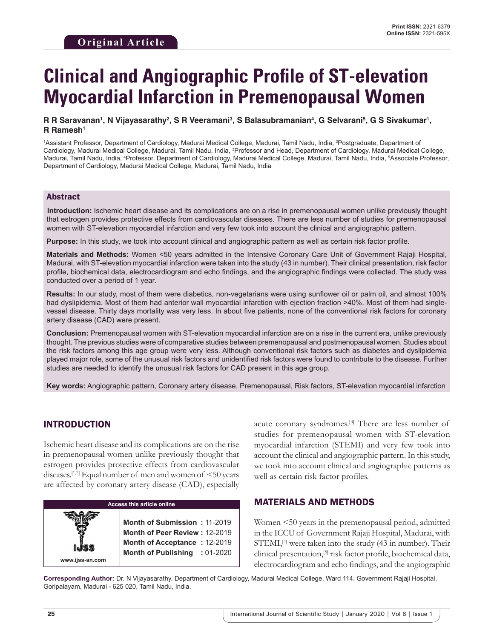# **Clinical and Angiographic Profile of ST-elevation Myocardial Infarction in Premenopausal Women**

#### **R** R Saravanan', N Vijayasarathy², S R Veeramaniª, S Balasubramanianª, G Selvarani<sup>s</sup>, G S Sivakumar', **R Ramesh1**

1 Assistant Professor, Department of Cardiology, Madurai Medical College, Madurai, Tamil Nadu, India, 2 Postgraduate, Department of Cardiology, Madurai Medical College, Madurai, Tamil Nadu, India, 3 Professor and Head, Department of Cardiology, Madurai Medical College, Madurai, Tamil Nadu, India, 4 Professor, Department of Cardiology, Madurai Medical College, Madurai, Tamil Nadu, India, 5 Associate Professor, Department of Cardiology, Madurai Medical College, Madurai, Tamil Nadu, India

### Abstract

**Introduction:** Ischemic heart disease and its complications are on a rise in premenopausal women unlike previously thought that estrogen provides protective effects from cardiovascular diseases. There are less number of studies for premenopausal women with ST-elevation myocardial infarction and very few took into account the clinical and angiographic pattern.

**Purpose:** In this study, we took into account clinical and angiographic pattern as well as certain risk factor profile.

**Materials and Methods:** Women <50 years admitted in the Intensive Coronary Care Unit of Government Rajaji Hospital, Madurai, with ST-elevation myocardial infarction were taken into the study (43 in number). Their clinical presentation, risk factor profile, biochemical data, electrocardiogram and echo findings, and the angiographic findings were collected. The study was conducted over a period of 1 year.

**Results:** In our study, most of them were diabetics, non-vegetarians were using sunflower oil or palm oil, and almost 100% had dyslipidemia. Most of them had anterior wall myocardial infarction with ejection fraction >40%. Most of them had singlevessel disease. Thirty days mortality was very less. In about five patients, none of the conventional risk factors for coronary artery disease (CAD) were present.

**Conclusion:** Premenopausal women with ST-elevation myocardial infarction are on a rise in the current era, unlike previously thought. The previous studies were of comparative studies between premenopausal and postmenopausal women. Studies about the risk factors among this age group were very less. Although conventional risk factors such as diabetes and dyslipidemia played major role, some of the unusual risk factors and unidentified risk factors were found to contribute to the disease. Further studies are needed to identify the unusual risk factors for CAD present in this age group.

**Key words:** Angiographic pattern, Coronary artery disease, Premenopausal, Risk factors, ST-elevation myocardial infarction

## INTRODUCTION

Ischemic heart disease and its complications are on the rise in premenopausal women unlike previously thought that estrogen provides protective effects from cardiovascular diseases.<sup>[1,2]</sup> Equal number of men and women of  $\leq 50$  years are affected by coronary artery disease (CAD), especially



acute coronary syndromes.[3] There are less number of studies for premenopausal women with ST-elevation myocardial infarction (STEMI) and very few took into account the clinical and angiographic pattern. In this study, we took into account clinical and angiographic patterns as well as certain risk factor profiles.

## MATERIALS AND METHODS

Women <50 years in the premenopausal period, admitted in the ICCU of Government Rajaji Hospital, Madurai, with  $STEMI, <sup>[4]</sup>$  were taken into the study (43 in number). Their clinical presentation,[5] risk factor profile, biochemical data, electrocardiogram and echo findings, and the angiographic

**Corresponding Author:** Dr. N Vijayasarathy, Department of Cardiology, Madurai Medical College, Ward 114, Government Rajaji Hospital, Goripalayam, Madurai - 625 020, Tamil Nadu, India.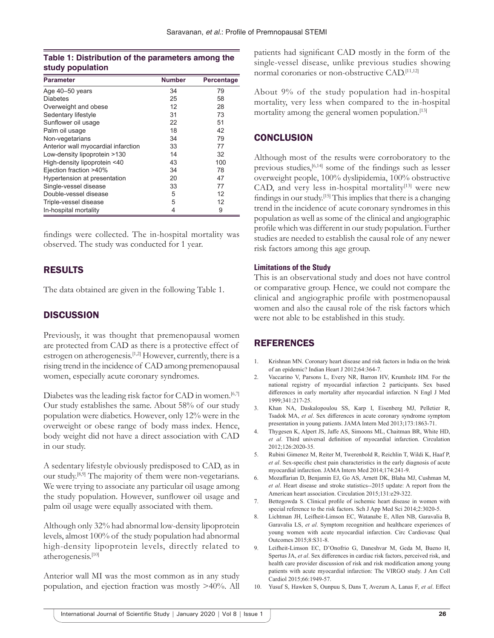## **Table 1: Distribution of the parameters among the study population**

| <b>Parameter</b>                    | <b>Number</b> | Percentage |
|-------------------------------------|---------------|------------|
| Age 40-50 years                     | 34            | 79         |
| <b>Diabetes</b>                     | 25            | 58         |
| Overweight and obese                | 12            | 28         |
| Sedentary lifestyle                 | 31            | 73         |
| Sunflower oil usage                 | 22            | 51         |
| Palm oil usage                      | 18            | 42         |
| Non-vegetarians                     | 34            | 79         |
| Anterior wall myocardial infarction | 33            | 77         |
| Low-density lipoprotein >130        | 14            | 32         |
| High-density lipoprotein <40        | 43            | 100        |
| Ejection fraction >40%              | 34            | 78         |
| Hypertension at presentation        | 20            | 47         |
| Single-vessel disease               | 33            | 77         |
| Double-vessel disease               | 5             | 12         |
| Triple-vessel disease               | 5             | 12         |
| In-hospital mortality               | 4             | 9          |

findings were collected. The in-hospital mortality was observed. The study was conducted for 1 year.

# RESULTS

The data obtained are given in the following Table 1.

# **DISCUSSION**

Previously, it was thought that premenopausal women are protected from CAD as there is a protective effect of estrogen on atherogenesis.<sup>[1,2]</sup> However, currently, there is a rising trend in the incidence of CAD among premenopausal women, especially acute coronary syndromes.

Diabetes was the leading risk factor for CAD in women.<sup>[6,7]</sup> Our study establishes the same. About 58% of our study population were diabetics. However, only 12% were in the overweight or obese range of body mass index. Hence, body weight did not have a direct association with CAD in our study.

A sedentary lifestyle obviously predisposed to CAD, as in our study.[8,9] The majority of them were non-vegetarians. We were trying to associate any particular oil usage among the study population. However, sunflower oil usage and palm oil usage were equally associated with them.

Although only 32% had abnormal low-density lipoprotein levels, almost 100% of the study population had abnormal high-density lipoprotein levels, directly related to atherogenesis.[10]

Anterior wall MI was the most common as in any study population, and ejection fraction was mostly >40%. All patients had significant CAD mostly in the form of the single-vessel disease, unlike previous studies showing normal coronaries or non-obstructive CAD.[11,12]

About 9% of the study population had in-hospital mortality, very less when compared to the in-hospital mortality among the general women population.<sup>[13]</sup>

# **CONCLUSION**

Although most of the results were corroboratory to the previous studies,[6,14] some of the findings such as lesser overweight people, 100% dyslipidemia, 100% obstructive CAD, and very less in-hospital mortality<sup>[13]</sup> were new findings in our study.[15] This implies that there is a changing trend in the incidence of acute coronary syndromes in this population as well as some of the clinical and angiographic profile which was different in our study population. Further studies are needed to establish the causal role of any newer risk factors among this age group.

## **Limitations of the Study**

This is an observational study and does not have control or comparative group. Hence, we could not compare the clinical and angiographic profile with postmenopausal women and also the causal role of the risk factors which were not able to be established in this study.

# REFERENCES

- 1. Krishnan MN. Coronary heart disease and risk factors in India on the brink of an epidemic? Indian Heart J 2012;64:364-7.
- 2. Vaccarino V, Parsons L, Every NR, Barron HV, Krumholz HM. For the national registry of myocardial infarction 2 participants. Sex based differences in early mortality after myocardial infarction. N Engl J Med 1999;341:217-25.
- 3. Khan NA, Daskalopoulou SS, Karp I, Eisenberg MJ, Pelletier R, Tsadok MA, *et al*. Sex differences in acute coronary syndrome symptom presentation in young patients. JAMA Intern Med 2013;173:1863-71.
- 4. Thygesen K, Alpert JS, Jaffe AS, Simoons ML, Chaitman BR, White HD, *et al*. Third universal definition of myocardial infarction. Circulation 2012;126:2020-35.
- 5. Rubini Gimenez M, Reiter M, Twerenbold R, Reichlin T, Wildi K, Haaf P, *et al*. Sex-specific chest pain characteristics in the early diagnosis of acute myocardial infarction. JAMA Intern Med 2014;174:241-9.
- 6. Mozaffarian D, Benjamin EJ, Go AS, Arnett DK, Blaha MJ, Cushman M, *et al*. Heart disease and stroke statistics--2015 update: A report from the American heart association. Circulation 2015;131:e29-322.
- 7. Bettegowda S. Clinical profile of ischemic heart disease in women with special reference to the risk factors. Sch J App Med Sci 2014;2:3020-5.
- 8. Lichtman JH, Leifheit-Limson EC, Watanabe E, Allen NB, Garavalia B, Garavalia LS, *et al*. Symptom recognition and healthcare experiences of young women with acute myocardial infarction. Circ Cardiovasc Qual Outcomes 2015;8:S31-8.
- 9. Leifheit-Limson EC, D'Onofrio G, Daneshvar M, Geda M, Bueno H, Spertus JA, *et al*. Sex differences in cardiac risk factors, perceived risk, and health care provider discussion of risk and risk modification among young patients with acute myocardial infarction: The VIRGO study. J Am Coll Cardiol 2015;66:1949-57.
- 10. Yusuf S, Hawken S, Ounpuu S, Dans T, Avezum A, Lanas F, *et al*. Effect